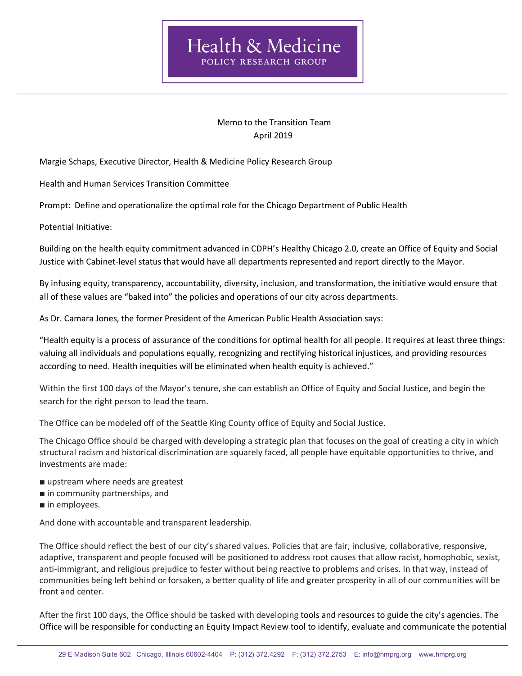## Memo to the Transition Team April 2019

Margie Schaps, Executive Director, Health & Medicine Policy Research Group

Health and Human Services Transition Committee

Prompt: Define and operationalize the optimal role for the Chicago Department of Public Health

Potential Initiative:

Building on the health equity commitment advanced in CDPH's Healthy Chicago 2.0, create an Office of Equity and Social Justice with Cabinet-level status that would have all departments represented and report directly to the Mayor.

By infusing equity, transparency, accountability, diversity, inclusion, and transformation, the initiative would ensure that all of these values are "baked into" the policies and operations of our city across departments.

As Dr. Camara Jones, the former President of the American Public Health Association says:

"Health equity is a process of assurance of the conditions for optimal health for all people. It requires at least three things: valuing all individuals and populations equally, recognizing and rectifying historical injustices, and providing resources according to need. Health inequities will be eliminated when health equity is achieved."

Within the first 100 days of the Mayor's tenure, she can establish an Office of Equity and Social Justice, and begin the search for the right person to lead the team.

The Office can be modeled off of the Seattle King County office of Equity and Social Justice.

The Chicago Office should be charged with developing a strategic plan that focuses on the goal of creating a city in which structural racism and historical discrimination are squarely faced, all people have equitable opportunities to thrive, and investments are made:

- upstream where needs are greatest
- in community partnerships, and
- in employees.

And done with accountable and transparent leadership.

The Office should reflect the best of our city's shared values. Policies that are fair, inclusive, collaborative, responsive, adaptive, transparent and people focused will be positioned to address root causes that allow racist, homophobic, sexist, anti-immigrant, and religious prejudice to fester without being reactive to problems and crises. In that way, instead of communities being left behind or forsaken, a better quality of life and greater prosperity in all of our communities will be front and center.

After the first 100 days, the Office should be tasked with developing tools and resources to guide the city's agencies. The Office will be responsible for conducting an Equity Impact Review tool to identify, evaluate and communicate the potential